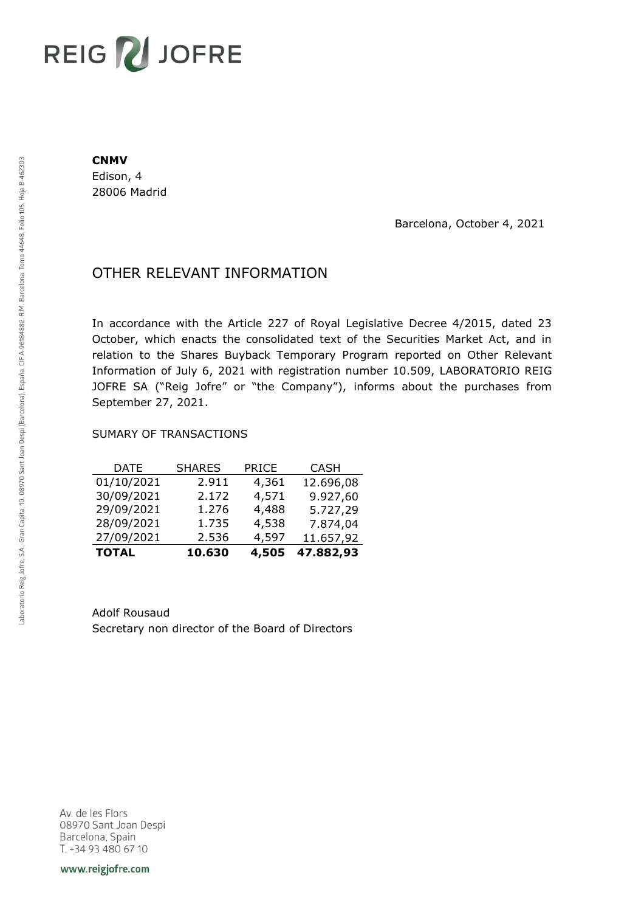# REIG V JOFRE

#### **CNMV**

Edison, 4 28006 Madrid

Barcelona, October 4, 2021

## OTHER RELEVANT INFORMATION

In accordance with the Article 227 of Royal Legislative Decree 4/2015, dated 23 October, which enacts the consolidated text of the Securities Market Act, and in relation to the Shares Buyback Temporary Program reported on Other Relevant Information of July 6, 2021 with registration number 10.509, LABORATORIO REIG JOFRE SA ("Reig Jofre" or "the Company"), informs about the purchases from September 27, 2021.

### SUMARY OF TRANSACTIONS

| <b>TOTAL</b> | 10.630        | 4,505        | 47.882,93   |
|--------------|---------------|--------------|-------------|
| 27/09/2021   | 2.536         | 4,597        | 11.657,92   |
| 28/09/2021   | 1.735         | 4,538        | 7.874,04    |
| 29/09/2021   | 1.276         | 4,488        | 5.727,29    |
| 30/09/2021   | 2.172         | 4,571        | 9.927,60    |
| 01/10/2021   | 2.911         | 4,361        | 12.696,08   |
| DATE         | <b>SHARES</b> | <b>PRICE</b> | <b>CASH</b> |

Adolf Rousaud Secretary non director of the Board of Directors

Av. de les Flors 08970 Sant Joan Despi Barcelona, Spain T. +34 93 480 67 10

www.reigjofre.com